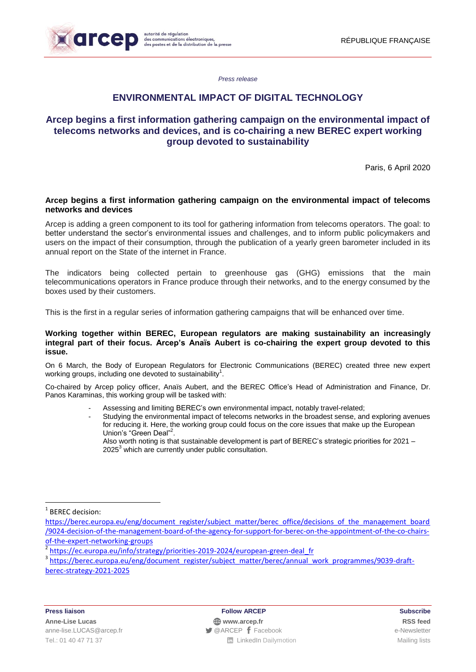

*Press release*

# **ENVIRONMENTAL IMPACT OF DIGITAL TECHNOLOGY**

# **Arcep begins a first information gathering campaign on the environmental impact of telecoms networks and devices, and is co-chairing a new BEREC expert working group devoted to sustainability**

Paris, 6 April 2020

# **Arcep begins a first information gathering campaign on the environmental impact of telecoms networks and devices**

Arcep is adding a green component to its tool for gathering information from telecoms operators. The goal: to better understand the sector's environmental issues and challenges, and to inform public policymakers and users on the impact of their consumption, through the publication of a yearly green barometer included in its annual report on the State of the internet in France.

The indicators being collected pertain to greenhouse gas (GHG) emissions that the main telecommunications operators in France produce through their networks, and to the energy consumed by the boxes used by their customers.

This is the first in a regular series of information gathering campaigns that will be enhanced over time.

### **Working together within BEREC, European regulators are making sustainability an increasingly integral part of their focus. Arcep's Anaïs Aubert is co-chairing the expert group devoted to this issue.**

On 6 March, the Body of European Regulators for Electronic Communications (BEREC) created three new expert working groups, including one devoted to sustainability<sup>1</sup>.

Co-chaired by Arcep policy officer, Anaïs Aubert, and the BEREC Office's Head of Administration and Finance, Dr. Panos Karaminas, this working group will be tasked with:

- Assessing and limiting BEREC's own environmental impact, notably travel-related;
- Studying the environmental impact of telecoms networks in the broadest sense, and exploring avenues for reducing it. Here, the working group could focus on the core issues that make up the European Union's "Green Deal"<sup>2</sup>.

Also worth noting is that sustainable development is part of BEREC's strategic priorities for 2021 – 2025<sup>3</sup> which are currently under public consultation.

<u>.</u>

<sup>&</sup>lt;sup>1</sup> BEREC decision:

[https://berec.europa.eu/eng/document\\_register/subject\\_matter/berec\\_office/decisions\\_of\\_the\\_management\\_board](https://berec.europa.eu/eng/document_register/subject_matter/berec_office/decisions_of_the_management_board/9024-decision-of-the-management-board-of-the-agency-for-support-for-berec-on-the-appointment-of-the-co-chairs-of-the-expert-networking-groups) [/9024-decision-of-the-management-board-of-the-agency-for-support-for-berec-on-the-appointment-of-the-co-chairs](https://berec.europa.eu/eng/document_register/subject_matter/berec_office/decisions_of_the_management_board/9024-decision-of-the-management-board-of-the-agency-for-support-for-berec-on-the-appointment-of-the-co-chairs-of-the-expert-networking-groups)[of-the-expert-networking-groups](https://berec.europa.eu/eng/document_register/subject_matter/berec_office/decisions_of_the_management_board/9024-decision-of-the-management-board-of-the-agency-for-support-for-berec-on-the-appointment-of-the-co-chairs-of-the-expert-networking-groups)

<sup>2</sup> [https://ec.europa.eu/info/strategy/priorities-2019-2024/european-green-deal\\_fr](https://ec.europa.eu/info/strategy/priorities-2019-2024/european-green-deal_fr)

<sup>3</sup> [https://berec.europa.eu/eng/document\\_register/subject\\_matter/berec/annual\\_work\\_programmes/9039-draft](https://berec.europa.eu/eng/document_register/subject_matter/berec/annual_work_programmes/9039-draft-berec-strategy-2021-2025)[berec-strategy-2021-2025](https://berec.europa.eu/eng/document_register/subject_matter/berec/annual_work_programmes/9039-draft-berec-strategy-2021-2025)